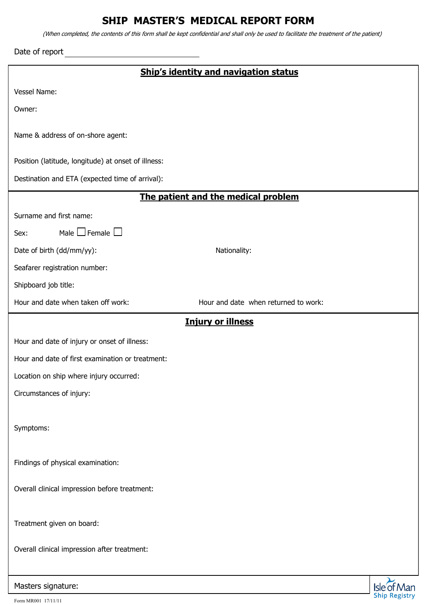## **SHIP MASTER'S MEDICAL REPORT FORM**

(When completed, the contents of this form shall be kept confidential and shall only be used to facilitate the treatment of the patient)

Date of report

|  | Ship's identity and navigation status |
|--|---------------------------------------|
|--|---------------------------------------|

Vessel Name:

Owner:

Name & address of on-shore agent:

Position (latitude, longitude) at onset of illness:

Destination and ETA (expected time of arrival):

## **The patient and the medical problem**

Surname and first name:

Sex: Male  $\Box$  Female  $\Box$ 

Date of birth (dd/mm/yy): Nationality:

Seafarer registration number:

Shipboard job title:

Hour and date when taken off work: Hour and date when returned to work:

## **Injury or illness**

Hour and date of injury or onset of illness:

Hour and date of first examination or treatment:

Location on ship where injury occurred:

Circumstances of injury:

Symptoms:

Findings of physical examination:

Overall clinical impression before treatment:

Treatment given on board:

Overall clinical impression after treatment:

Masters signature: